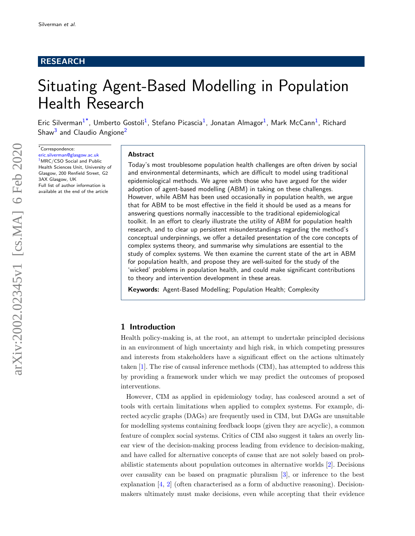# RESEARCH

# Situating Agent-Based Modelling in Population Health Research

Eric Silverman<sup>[1](#page-19-0)[\\*](#page-0-0)</sup>, Umberto Gostoli<sup>1</sup>, Stefano Picascia<sup>1</sup>, Jonatan Almagor<sup>1</sup>, Mark McCann<sup>1</sup>, Richard Shaw<sup>[3](#page-19-1)</sup> and Claudio Angione<sup>[2](#page-19-2)</sup>

<span id="page-0-0"></span> $*$ Correspondence:

[eric.silverman@glasgow.ac.uk](mailto:eric.silverman@glasgow.ac.uk) <sup>[1](#page-19-0)</sup>MRC/CSO Social and Public Health Sciences Unit, University of Glasgow, 200 Renfield Street, G2 3AX Glasgow, UK Full list of author information is available at the end of the article

## Abstract

Today's most troublesome population health challenges are often driven by social and environmental determinants, which are difficult to model using traditional epidemiological methods. We agree with those who have argued for the wider adoption of agent-based modelling (ABM) in taking on these challenges. However, while ABM has been used occasionally in population health, we argue that for ABM to be most effective in the field it should be used as a means for answering questions normally inaccessible to the traditional epidemiological toolkit. In an effort to clearly illustrate the utility of ABM for population health research, and to clear up persistent misunderstandings regarding the method's conceptual underpinnings, we offer a detailed presentation of the core concepts of complex systems theory, and summarise why simulations are essential to the study of complex systems. We then examine the current state of the art in ABM for population health, and propose they are well-suited for the study of the 'wicked' problems in population health, and could make significant contributions to theory and intervention development in these areas.

Keywords: Agent-Based Modelling; Population Health; Complexity

# 1 Introduction

Health policy-making is, at the root, an attempt to undertake principled decisions in an environment of high uncertainty and high risk, in which competing pressures and interests from stakeholders have a significant effect on the actions ultimately taken [\[1\]](#page-19-3). The rise of causal inference methods (CIM), has attempted to address this by providing a framework under which we may predict the outcomes of proposed interventions.

However, CIM as applied in epidemiology today, has coalesced around a set of tools with certain limitations when applied to complex systems. For example, directed acyclic graphs (DAGs) are frequently used in CIM, but DAGs are unsuitable for modelling systems containing feedback loops (given they are acyclic), a common feature of complex social systems. Critics of CIM also suggest it takes an overly linear view of the decision-making process leading from evidence to decision-making, and have called for alternative concepts of cause that are not solely based on probabilistic statements about population outcomes in alternative worlds [\[2\]](#page-19-4). Decisions over causality can be based on pragmatic pluralism [\[3\]](#page-19-5), or inference to the best explanation  $[4, 2]$  $[4, 2]$  $[4, 2]$  (often characterised as a form of abductive reasoning). Decisionmakers ultimately must make decisions, even while accepting that their evidence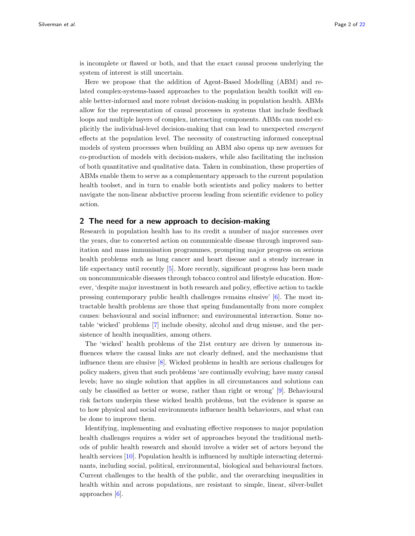is incomplete or flawed or both, and that the exact causal process underlying the system of interest is still uncertain.

Here we propose that the addition of Agent-Based Modelling (ABM) and related complex-systems-based approaches to the population health toolkit will enable better-informed and more robust decision-making in population health. ABMs allow for the representation of causal processes in systems that include feedback loops and multiple layers of complex, interacting components. ABMs can model explicitly the individual-level decision-making that can lead to unexpected emergent effects at the population level. The necessity of constructing informed conceptual models of system processes when building an ABM also opens up new avenues for co-production of models with decision-makers, while also facilitating the inclusion of both quantitative and qualitative data. Taken in combination, these properties of ABMs enable them to serve as a complementary approach to the current population health toolset, and in turn to enable both scientists and policy makers to better navigate the non-linear abductive process leading from scientific evidence to policy action.

## 2 The need for a new approach to decision-making

Research in population health has to its credit a number of major successes over the years, due to concerted action on communicable disease through improved sanitation and mass immunisation programmes, prompting major progress on serious health problems such as lung cancer and heart disease and a steady increase in life expectancy until recently [\[5\]](#page-19-7). More recently, significant progress has been made on noncommunicable diseases through tobacco control and lifestyle education. However, 'despite major investment in both research and policy, effective action to tackle pressing contemporary public health challenges remains elusive' [\[6\]](#page-19-8). The most intractable health problems are those that spring fundamentally from more complex causes: behavioural and social influence; and environmental interaction. Some notable 'wicked' problems [\[7\]](#page-19-9) include obesity, alcohol and drug misuse, and the persistence of health inequalities, among others.

The 'wicked' health problems of the 21st century are driven by numerous influences where the causal links are not clearly defined, and the mechanisms that influence them are elusive [\[8\]](#page-19-10). Wicked problems in health are serious challenges for policy makers, given that such problems 'are continually evolving; have many causal levels; have no single solution that applies in all circumstances and solutions can only be classified as better or worse, rather than right or wrong' [\[9\]](#page-19-11). Behavioural risk factors underpin these wicked health problems, but the evidence is sparse as to how physical and social environments influence health behaviours, and what can be done to improve them.

Identifying, implementing and evaluating effective responses to major population health challenges requires a wider set of approaches beyond the traditional methods of public health research and should involve a wider set of actors beyond the health services [\[10\]](#page-19-12). Population health is influenced by multiple interacting determinants, including social, political, environmental, biological and behavioural factors. Current challenges to the health of the public, and the overarching inequalities in health within and across populations, are resistant to simple, linear, silver-bullet approaches [\[6\]](#page-19-8).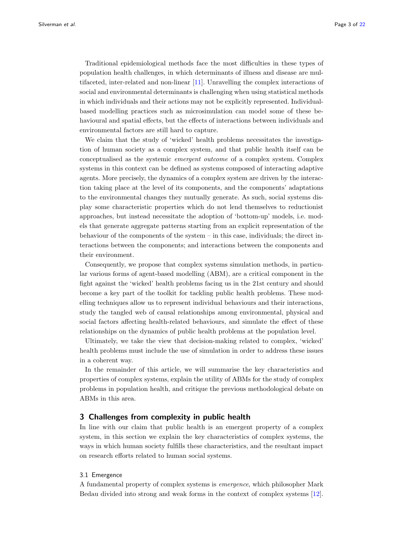Traditional epidemiological methods face the most difficulties in these types of population health challenges, in which determinants of illness and disease are multifaceted, inter-related and non-linear [\[11\]](#page-19-13). Unravelling the complex interactions of social and environmental determinants is challenging when using statistical methods in which individuals and their actions may not be explicitly represented. Individualbased modelling practices such as microsimulation can model some of these behavioural and spatial effects, but the effects of interactions between individuals and environmental factors are still hard to capture.

We claim that the study of 'wicked' health problems necessitates the investigation of human society as a complex system, and that public health itself can be conceptualised as the systemic emergent outcome of a complex system. Complex systems in this context can be defined as systems composed of interacting adaptive agents. More precisely, the dynamics of a complex system are driven by the interaction taking place at the level of its components, and the components' adaptations to the environmental changes they mutually generate. As such, social systems display some characteristic properties which do not lend themselves to reductionist approaches, but instead necessitate the adoption of 'bottom-up' models, i.e. models that generate aggregate patterns starting from an explicit representation of the behaviour of the components of the system – in this case, individuals; the direct interactions between the components; and interactions between the components and their environment.

Consequently, we propose that complex systems simulation methods, in particular various forms of agent-based modelling (ABM), are a critical component in the fight against the 'wicked' health problems facing us in the 21st century and should become a key part of the toolkit for tackling public health problems. These modelling techniques allow us to represent individual behaviours and their interactions, study the tangled web of causal relationships among environmental, physical and social factors affecting health-related behaviours, and simulate the effect of these relationships on the dynamics of public health problems at the population level.

Ultimately, we take the view that decision-making related to complex, 'wicked' health problems must include the use of simulation in order to address these issues in a coherent way.

In the remainder of this article, we will summarise the key characteristics and properties of complex systems, explain the utility of ABMs for the study of complex problems in population health, and critique the previous methodological debate on ABMs in this area.

# 3 Challenges from complexity in public health

In line with our claim that public health is an emergent property of a complex system, in this section we explain the key characteristics of complex systems, the ways in which human society fulfills these characteristics, and the resultant impact on research efforts related to human social systems.

## 3.1 Emergence

A fundamental property of complex systems is emergence, which philosopher Mark Bedau divided into strong and weak forms in the context of complex systems [\[12\]](#page-19-14).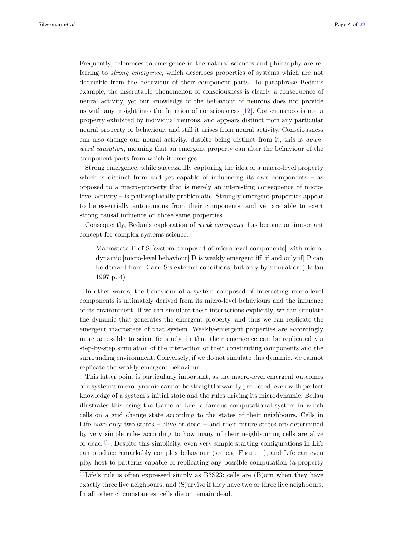Frequently, references to emergence in the natural sciences and philosophy are referring to strong emergence, which describes properties of systems which are not deducible from the behaviour of their component parts. To paraphrase Bedau's example, the inscrutable phenomenon of consciousness is clearly a consequence of neural activity, yet our knowledge of the behaviour of neurons does not provide us with any insight into the function of consciousness [\[12\]](#page-19-14). Consciousness is not a property exhibited by individual neurons, and appears distinct from any particular neural property or behaviour, and still it arises from neural activity. Consciousness can also change our neural activity, despite being distinct from it; this is downward causation, meaning that an emergent property can alter the behaviour of the component parts from which it emerges.

Strong emergence, while successfully capturing the idea of a macro-level property which is distinct from and yet capable of influencing its own components – as opposed to a macro-property that is merely an interesting consequence of microlevel activity – is philosophically problematic. Strongly emergent properties appear to be essentially autonomous from their components, and yet are able to exert strong causal influence on those same properties.

Consequently, Bedau's exploration of weak emergence has become an important concept for complex systems science:

Macrostate P of S [system composed of micro-level components] with microdynamic [micro-level behaviour] D is weakly emergent iff [if and only if] P can be derived from D and S's external conditions, but only by simulation (Bedau 1997 p. 4)

In other words, the behaviour of a system composed of interacting micro-level components is ultimately derived from its micro-level behaviours and the influence of its environment. If we can simulate these interactions explicitly, we can simulate the dynamic that generates the emergent property, and thus we can replicate the emergent macrostate of that system. Weakly-emergent properties are accordingly more accessible to scientific study, in that their emergence can be replicated via step-by-step simulation of the interaction of their constituting components and the surrounding environment. Conversely, if we do not simulate this dynamic, we cannot replicate the weakly-emergent behaviour.

This latter point is particularly important, as the macro-level emergent outcomes of a system's microdynamic cannot be straightforwardly predicted, even with perfect knowledge of a system's initial state and the rules driving its microdynamic. Bedau illustrates this using the Game of Life, a famous computational system in which cells on a grid change state according to the states of their neighbours. Cells in Life have only two states – alive or dead – and their future states are determined by very simple rules according to how many of their neighbouring cells are alive or dead  $\left[1\right]$ . Despite this simplicity, even very simple starting configurations in Life can produce remarkably complex behaviour (see e.g. Figure [1\)](#page-4-0), and Life can even play host to patterns capable of replicating any possible computation (a property

<span id="page-3-0"></span><sup>[1]</sup>Life's rule is often expressed simply as B3S23: cells are (B)orn when they have exactly three live neighbours, and (S)urvive if they have two or three live neighbours. In all other circumstances, cells die or remain dead.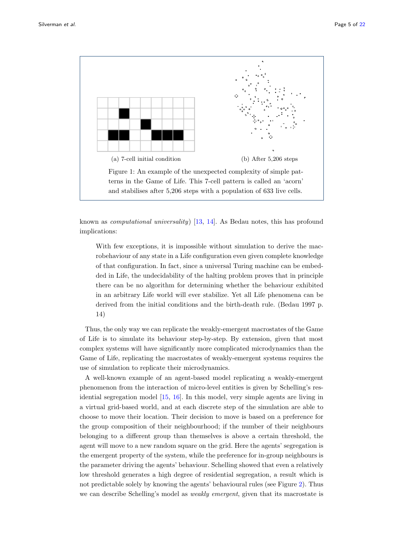

<span id="page-4-0"></span>known as computational universality) [\[13,](#page-19-15) [14\]](#page-19-16). As Bedau notes, this has profound implications:

With few exceptions, it is impossible without simulation to derive the macrobehaviour of any state in a Life configuration even given complete knowledge of that configuration. In fact, since a universal Turing machine can be embedded in Life, the undecidability of the halting problem proves that in principle there can be no algorithm for determining whether the behaviour exhibited in an arbitrary Life world will ever stabilize. Yet all Life phenomena can be derived from the initial conditions and the birth-death rule. (Bedau 1997 p. 14)

Thus, the only way we can replicate the weakly-emergent macrostates of the Game of Life is to simulate its behaviour step-by-step. By extension, given that most complex systems will have significantly more complicated microdynamics than the Game of Life, replicating the macrostates of weakly-emergent systems requires the use of simulation to replicate their microdynamics.

A well-known example of an agent-based model replicating a weakly-emergent phenomenon from the interaction of micro-level entities is given by Schelling's residential segregation model [\[15,](#page-19-17) [16\]](#page-19-18). In this model, very simple agents are living in a virtual grid-based world, and at each discrete step of the simulation are able to choose to move their location. Their decision to move is based on a preference for the group composition of their neighbourhood; if the number of their neighbours belonging to a different group than themselves is above a certain threshold, the agent will move to a new random square on the grid. Here the agents' segregation is the emergent property of the system, while the preference for in-group neighbours is the parameter driving the agents' behaviour. Schelling showed that even a relatively low threshold generates a high degree of residential segregation, a result which is not predictable solely by knowing the agents' behavioural rules (see Figure [2\)](#page-5-0). Thus we can describe Schelling's model as *weakly emergent*, given that its macrostate is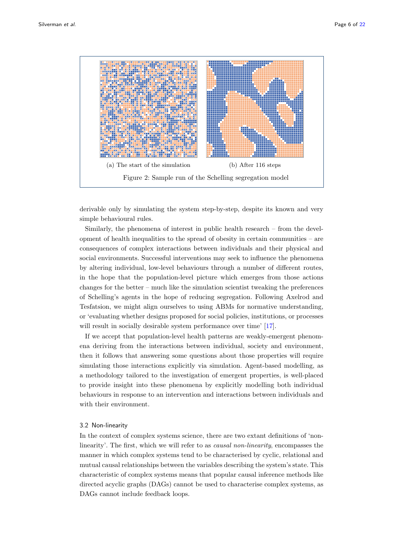

<span id="page-5-0"></span>derivable only by simulating the system step-by-step, despite its known and very simple behavioural rules.

Similarly, the phenomena of interest in public health research – from the development of health inequalities to the spread of obesity in certain communities – are consequences of complex interactions between individuals and their physical and social environments. Successful interventions may seek to influence the phenomena by altering individual, low-level behaviours through a number of different routes, in the hope that the population-level picture which emerges from those actions changes for the better – much like the simulation scientist tweaking the preferences of Schelling's agents in the hope of reducing segregation. Following Axelrod and Tesfatsion, we might align ourselves to using ABMs for normative understanding, or 'evaluating whether designs proposed for social policies, institutions, or processes will result in socially desirable system performance over time' [\[17\]](#page-19-19).

If we accept that population-level health patterns are weakly-emergent phenomena deriving from the interactions between individual, society and environment, then it follows that answering some questions about those properties will require simulating those interactions explicitly via simulation. Agent-based modelling, as a methodology tailored to the investigation of emergent properties, is well-placed to provide insight into these phenomena by explicitly modelling both individual behaviours in response to an intervention and interactions between individuals and with their environment.

# 3.2 Non-linearity

In the context of complex systems science, there are two extant definitions of 'nonlinearity'. The first, which we will refer to as *causal non-linearity*, encompasses the manner in which complex systems tend to be characterised by cyclic, relational and mutual causal relationships between the variables describing the system's state. This characteristic of complex systems means that popular causal inference methods like directed acyclic graphs (DAGs) cannot be used to characterise complex systems, as DAGs cannot include feedback loops.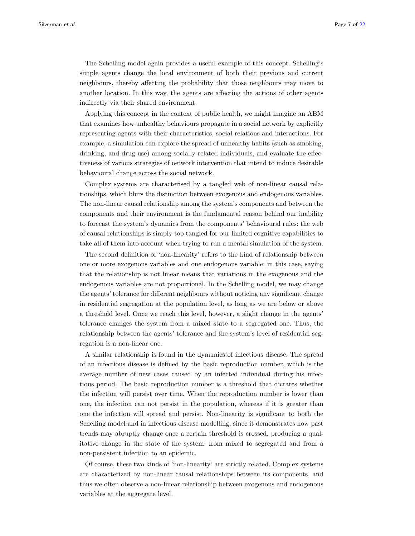The Schelling model again provides a useful example of this concept. Schelling's simple agents change the local environment of both their previous and current neighbours, thereby affecting the probability that those neighbours may move to another location. In this way, the agents are affecting the actions of other agents indirectly via their shared environment.

Applying this concept in the context of public health, we might imagine an ABM that examines how unhealthy behaviours propagate in a social network by explicitly representing agents with their characteristics, social relations and interactions. For example, a simulation can explore the spread of unhealthy habits (such as smoking, drinking, and drug-use) among socially-related individuals, and evaluate the effectiveness of various strategies of network intervention that intend to induce desirable behavioural change across the social network.

Complex systems are characterised by a tangled web of non-linear causal relationships, which blurs the distinction between exogenous and endogenous variables. The non-linear causal relationship among the system's components and between the components and their environment is the fundamental reason behind our inability to forecast the system's dynamics from the components' behavioural rules: the web of causal relationships is simply too tangled for our limited cognitive capabilities to take all of them into account when trying to run a mental simulation of the system.

The second definition of 'non-linearity' refers to the kind of relationship between one or more exogenous variables and one endogenous variable: in this case, saying that the relationship is not linear means that variations in the exogenous and the endogenous variables are not proportional. In the Schelling model, we may change the agents' tolerance for different neighbours without noticing any significant change in residential segregation at the population level, as long as we are below or above a threshold level. Once we reach this level, however, a slight change in the agents' tolerance changes the system from a mixed state to a segregated one. Thus, the relationship between the agents' tolerance and the system's level of residential segregation is a non-linear one.

A similar relationship is found in the dynamics of infectious disease. The spread of an infectious disease is defined by the basic reproduction number, which is the average number of new cases caused by an infected individual during his infectious period. The basic reproduction number is a threshold that dictates whether the infection will persist over time. When the reproduction number is lower than one, the infection can not persist in the population, whereas if it is greater than one the infection will spread and persist. Non-linearity is significant to both the Schelling model and in infectious disease modelling, since it demonstrates how past trends may abruptly change once a certain threshold is crossed, producing a qualitative change in the state of the system: from mixed to segregated and from a non-persistent infection to an epidemic.

Of course, these two kinds of 'non-linearity' are strictly related. Complex systems are characterized by non-linear causal relationships between its components, and thus we often observe a non-linear relationship between exogenous and endogenous variables at the aggregate level.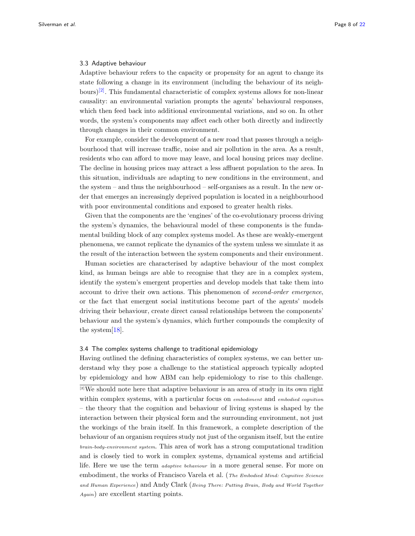## 3.3 Adaptive behaviour

Adaptive behaviour refers to the capacity or propensity for an agent to change its state following a change in its environment (including the behaviour of its neighbours) $\left|2\right|$ . This fundamental characteristic of complex systems allows for non-linear causality: an environmental variation prompts the agents' behavioural responses, which then feed back into additional environmental variations, and so on. In other words, the system's components may affect each other both directly and indirectly through changes in their common environment.

For example, consider the development of a new road that passes through a neighbourhood that will increase traffic, noise and air pollution in the area. As a result, residents who can afford to move may leave, and local housing prices may decline. The decline in housing prices may attract a less affluent population to the area. In this situation, individuals are adapting to new conditions in the environment, and the system – and thus the neighbourhood – self-organises as a result. In the new order that emerges an increasingly deprived population is located in a neighbourhood with poor environmental conditions and exposed to greater health risks.

Given that the components are the 'engines' of the co-evolutionary process driving the system's dynamics, the behavioural model of these components is the fundamental building block of any complex systems model. As these are weakly-emergent phenomena, we cannot replicate the dynamics of the system unless we simulate it as the result of the interaction between the system components and their environment.

Human societies are characterised by adaptive behaviour of the most complex kind, as human beings are able to recognise that they are in a complex system, identify the system's emergent properties and develop models that take them into account to drive their own actions. This phenomenon of second-order emergence, or the fact that emergent social institutions become part of the agents' models driving their behaviour, create direct causal relationships between the components' behaviour and the system's dynamics, which further compounds the complexity of the system[\[18\]](#page-19-20).

### 3.4 The complex systems challenge to traditional epidemiology

Having outlined the defining characteristics of complex systems, we can better understand why they pose a challenge to the statistical approach typically adopted by epidemiology and how ABM can help epidemiology to rise to this challenge.

<span id="page-7-0"></span>[2]We should note here that adaptive behaviour is an area of study in its own right within complex systems, with a particular focus on *embodiment* and *embodied cognition* – the theory that the cognition and behaviour of living systems is shaped by the interaction between their physical form and the surrounding environment, not just the workings of the brain itself. In this framework, a complete description of the behaviour of an organism requires study not just of the organism itself, but the entire brain-body-environment system. This area of work has a strong computational tradition and is closely tied to work in complex systems, dynamical systems and artificial life. Here we use the term adaptive behaviour in a more general sense. For more on embodiment, the works of Francisco Varela et al. (*The Embodied Mind: Cognitive Science* and Human Experience) and Andy Clark (Being There: Putting Brain, Body and World Together Again) are excellent starting points.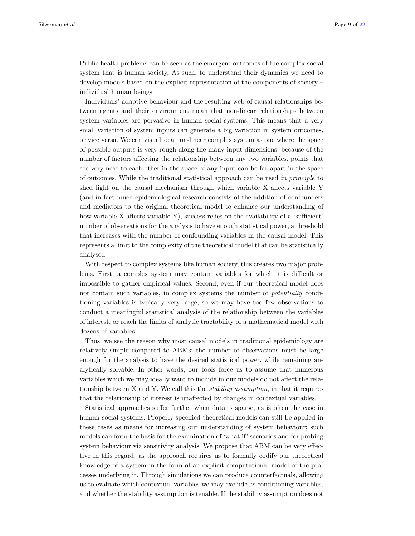Public health problems can be seen as the emergent outcomes of the complex social system that is human society. As such, to understand their dynamics we need to develop models based on the explicit representation of the components of society – individual human beings.

Individuals' adaptive behaviour and the resulting web of causal relationships between agents and their environment mean that non-linear relationships between system variables are pervasive in human social systems. This means that a very small variation of system inputs can generate a big variation in system outcomes, or vice versa. We can visualise a non-linear complex system as one where the space of possible outputs is very rough along the many input dimensions: because of the number of factors affecting the relationship between any two variables, points that are very near to each other in the space of any input can be far apart in the space of outcomes. While the traditional statistical approach can be used in principle to shed light on the causal mechanism through which variable X affects variable Y (and in fact much epidemiological research consists of the addition of confounders and mediators to the original theoretical model to enhance our understanding of how variable X affects variable Y), success relies on the availability of a 'sufficient' number of observations for the analysis to have enough statistical power, a threshold that increases with the number of confounding variables in the causal model. This represents a limit to the complexity of the theoretical model that can be statistically analysed.

With respect to complex systems like human society, this creates two major problems. First, a complex system may contain variables for which it is difficult or impossible to gather empirical values. Second, even if our theoretical model does not contain such variables, in complex systems the number of potentially conditioning variables is typically very large, so we may have too few observations to conduct a meaningful statistical analysis of the relationship between the variables of interest, or reach the limits of analytic tractability of a mathematical model with dozens of variables.

Thus, we see the reason why most causal models in traditional epidemiology are relatively simple compared to ABMs: the number of observations must be large enough for the analysis to have the desired statistical power, while remaining analytically solvable. In other words, our tools force us to assume that numerous variables which we may ideally want to include in our models do not affect the relationship between X and Y. We call this the *stability assumption*, in that it requires that the relationship of interest is unaffected by changes in contextual variables.

Statistical approaches suffer further when data is sparse, as is often the case in human social systems. Properly-specified theoretical models can still be applied in these cases as means for increasing our understanding of system behaviour; such models can form the basis for the examination of 'what if' scenarios and for probing system behaviour via sensitivity analysis. We propose that ABM can be very effective in this regard, as the approach requires us to formally codify our theoretical knowledge of a system in the form of an explicit computational model of the processes underlying it. Through simulations we can produce counterfactuals, allowing us to evaluate which contextual variables we may exclude as conditioning variables, and whether the stability assumption is tenable. If the stability assumption does not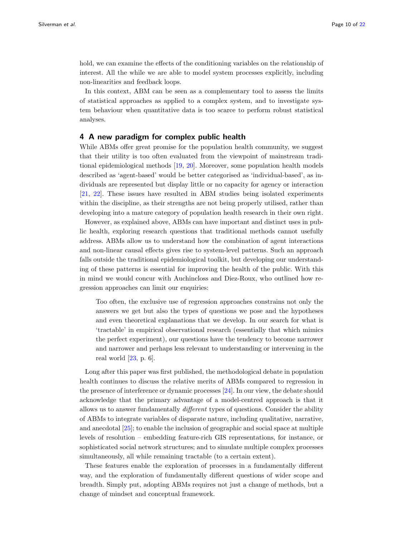hold, we can examine the effects of the conditioning variables on the relationship of interest. All the while we are able to model system processes explicitly, including non-linearities and feedback loops.

In this context, ABM can be seen as a complementary tool to assess the limits of statistical approaches as applied to a complex system, and to investigate system behaviour when quantitative data is too scarce to perform robust statistical analyses.

# 4 A new paradigm for complex public health

While ABMs offer great promise for the population health community, we suggest that their utility is too often evaluated from the viewpoint of mainstream traditional epidemiological methods [\[19,](#page-19-21) [20\]](#page-19-22). Moreover, some population health models described as 'agent-based' would be better categorised as 'individual-based', as individuals are represented but display little or no capacity for agency or interaction [\[21,](#page-19-23) [22\]](#page-19-24). These issues have resulted in ABM studies being isolated experiments within the discipline, as their strengths are not being properly utilised, rather than developing into a mature category of population health research in their own right.

However, as explained above, ABMs can have important and distinct uses in public health, exploring research questions that traditional methods cannot usefully address. ABMs allow us to understand how the combination of agent interactions and non-linear causal effects gives rise to system-level patterns. Such an approach falls outside the traditional epidemiological toolkit, but developing our understanding of these patterns is essential for improving the health of the public. With this in mind we would concur with Auchincloss and Diez-Roux, who outlined how regression approaches can limit our enquiries:

Too often, the exclusive use of regression approaches constrains not only the answers we get but also the types of questions we pose and the hypotheses and even theoretical explanations that we develop. In our search for what is 'tractable' in empirical observational research (essentially that which mimics the perfect experiment), our questions have the tendency to become narrower and narrower and perhaps less relevant to understanding or intervening in the real world  $[23, p. 6]$  $[23, p. 6]$ .

Long after this paper was first published, the methodological debate in population health continues to discuss the relative merits of ABMs compared to regression in the presence of interference or dynamic processes [\[24\]](#page-19-26). In our view, the debate should acknowledge that the primary advantage of a model-centred approach is that it allows us to answer fundamentally different types of questions. Consider the ability of ABMs to integrate variables of disparate nature, including qualitative, narrative, and anecdotal [\[25\]](#page-19-27); to enable the inclusion of geographic and social space at multiple levels of resolution – embedding feature-rich GIS representations, for instance, or sophisticated social network structures; and to simulate multiple complex processes simultaneously, all while remaining tractable (to a certain extent).

These features enable the exploration of processes in a fundamentally different way, and the exploration of fundamentally different questions of wider scope and breadth. Simply put, adopting ABMs requires not just a change of methods, but a change of mindset and conceptual framework.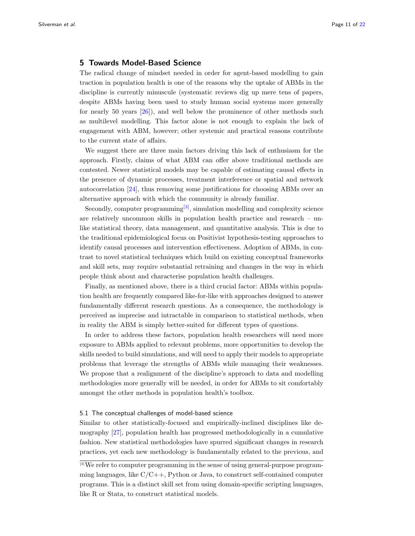# 5 Towards Model-Based Science

The radical change of mindset needed in order for agent-based modelling to gain traction in population health is one of the reasons why the uptake of ABMs in the discipline is currently minuscule (systematic reviews dig up mere tens of papers, despite ABMs having been used to study human social systems more generally for nearly 50 years [\[26\]](#page-19-28)), and well below the prominence of other methods such as multilevel modelling. This factor alone is not enough to explain the lack of engagement with ABM, however; other systemic and practical reasons contribute to the current state of affairs.

We suggest there are three main factors driving this lack of enthusiasm for the approach. Firstly, claims of what ABM can offer above traditional methods are contested. Newer statistical models may be capable of estimating causal effects in the presence of dynamic processes, treatment interference or spatial and network autocorrelation [\[24\]](#page-19-26), thus removing some justifications for choosing ABMs over an alternative approach with which the community is already familiar.

Secondly, computer programming $[3]$ , simulation modelling and complexity science are relatively uncommon skills in population health practice and research – unlike statistical theory, data management, and quantitative analysis. This is due to the traditional epidemiological focus on Positivist hypothesis-testing approaches to identify causal processes and intervention effectiveness. Adoption of ABMs, in contrast to novel statistical techniques which build on existing conceptual frameworks and skill sets, may require substantial retraining and changes in the way in which people think about and characterise population health challenges.

Finally, as mentioned above, there is a third crucial factor: ABMs within population health are frequently compared like-for-like with approaches designed to answer fundamentally different research questions. As a consequence, the methodology is perceived as imprecise and intractable in comparison to statistical methods, when in reality the ABM is simply better-suited for different types of questions.

In order to address these factors, population health researchers will need more exposure to ABMs applied to relevant problems, more opportunities to develop the skills needed to build simulations, and will need to apply their models to appropriate problems that leverage the strengths of ABMs while managing their weaknesses. We propose that a realignment of the discipline's approach to data and modelling methodologies more generally will be needed, in order for ABMs to sit comfortably amongst the other methods in population health's toolbox.

# 5.1 The conceptual challenges of model-based science

Similar to other statistically-focused and empirically-inclined disciplines like demography [\[27\]](#page-19-29), population health has progressed methodologically in a cumulative fashion. New statistical methodologies have spurred significant changes in research practices, yet each new methodology is fundamentally related to the previous, and

<span id="page-10-0"></span><sup>[3]</sup> We refer to computer programming in the sense of using general-purpose programming languages, like  $C/C++$ , Python or Java, to construct self-contained computer programs. This is a distinct skill set from using domain-specific scripting languages, like R or Stata, to construct statistical models.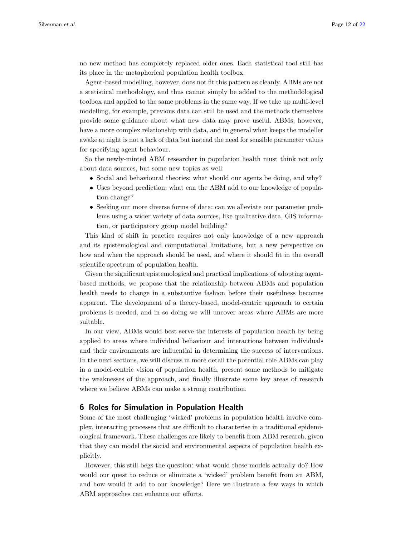no new method has completely replaced older ones. Each statistical tool still has its place in the metaphorical population health toolbox.

Agent-based modelling, however, does not fit this pattern as cleanly. ABMs are not a statistical methodology, and thus cannot simply be added to the methodological toolbox and applied to the same problems in the same way. If we take up multi-level modelling, for example, previous data can still be used and the methods themselves provide some guidance about what new data may prove useful. ABMs, however, have a more complex relationship with data, and in general what keeps the modeller awake at night is not a lack of data but instead the need for sensible parameter values for specifying agent behaviour.

So the newly-minted ABM researcher in population health must think not only about data sources, but some new topics as well:

- Social and behavioural theories: what should our agents be doing, and why?
- Uses beyond prediction: what can the ABM add to our knowledge of population change?
- Seeking out more diverse forms of data: can we alleviate our parameter problems using a wider variety of data sources, like qualitative data, GIS information, or participatory group model building?

This kind of shift in practice requires not only knowledge of a new approach and its epistemological and computational limitations, but a new perspective on how and when the approach should be used, and where it should fit in the overall scientific spectrum of population health.

Given the significant epistemological and practical implications of adopting agentbased methods, we propose that the relationship between ABMs and population health needs to change in a substantive fashion before their usefulness becomes apparent. The development of a theory-based, model-centric approach to certain problems is needed, and in so doing we will uncover areas where ABMs are more suitable.

In our view, ABMs would best serve the interests of population health by being applied to areas where individual behaviour and interactions between individuals and their environments are influential in determining the success of interventions. In the next sections, we will discuss in more detail the potential role ABMs can play in a model-centric vision of population health, present some methods to mitigate the weaknesses of the approach, and finally illustrate some key areas of research where we believe ABMs can make a strong contribution.

# 6 Roles for Simulation in Population Health

Some of the most challenging 'wicked' problems in population health involve complex, interacting processes that are difficult to characterise in a traditional epidemiological framework. These challenges are likely to benefit from ABM research, given that they can model the social and environmental aspects of population health explicitly.

However, this still begs the question: what would these models actually do? How would our quest to reduce or eliminate a 'wicked' problem benefit from an ABM, and how would it add to our knowledge? Here we illustrate a few ways in which ABM approaches can enhance our efforts.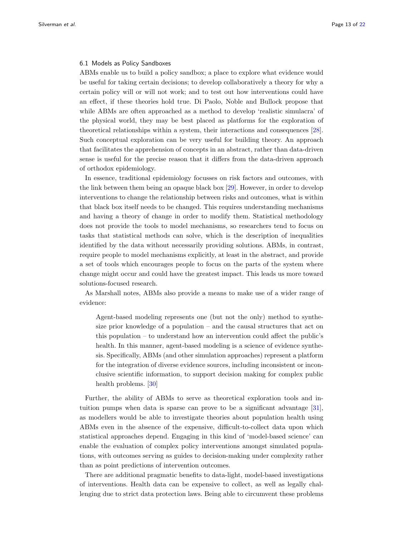# 6.1 Models as Policy Sandboxes

ABMs enable us to build a policy sandbox; a place to explore what evidence would be useful for taking certain decisions; to develop collaboratively a theory for why a certain policy will or will not work; and to test out how interventions could have an effect, if these theories hold true. Di Paolo, Noble and Bullock propose that while ABMs are often approached as a method to develop 'realistic simulacra' of the physical world, they may be best placed as platforms for the exploration of theoretical relationships within a system, their interactions and consequences [\[28\]](#page-19-30). Such conceptual exploration can be very useful for building theory. An approach that facilitates the apprehension of concepts in an abstract, rather than data-driven sense is useful for the precise reason that it differs from the data-driven approach of orthodox epidemiology.

In essence, traditional epidemiology focusses on risk factors and outcomes, with the link between them being an opaque black box [\[29\]](#page-19-31). However, in order to develop interventions to change the relationship between risks and outcomes, what is within that black box itself needs to be changed. This requires understanding mechanisms and having a theory of change in order to modify them. Statistical methodology does not provide the tools to model mechanisms, so researchers tend to focus on tasks that statistical methods can solve, which is the description of inequalities identified by the data without necessarily providing solutions. ABMs, in contrast, require people to model mechanisms explicitly, at least in the abstract, and provide a set of tools which encourages people to focus on the parts of the system where change might occur and could have the greatest impact. This leads us more toward solutions-focused research.

As Marshall notes, ABMs also provide a means to make use of a wider range of evidence:

Agent-based modeling represents one (but not the only) method to synthesize prior knowledge of a population – and the causal structures that act on this population – to understand how an intervention could affect the public's health. In this manner, agent-based modeling is a science of evidence synthesis. Specifically, ABMs (and other simulation approaches) represent a platform for the integration of diverse evidence sources, including inconsistent or inconclusive scientific information, to support decision making for complex public health problems. [\[30\]](#page-20-0)

Further, the ability of ABMs to serve as theoretical exploration tools and intuition pumps when data is sparse can prove to be a significant advantage [\[31\]](#page-20-1), as modellers would be able to investigate theories about population health using ABMs even in the absence of the expensive, difficult-to-collect data upon which statistical approaches depend. Engaging in this kind of 'model-based science' can enable the evaluation of complex policy interventions amongst simulated populations, with outcomes serving as guides to decision-making under complexity rather than as point predictions of intervention outcomes.

There are additional pragmatic benefits to data-light, model-based investigations of interventions. Health data can be expensive to collect, as well as legally challenging due to strict data protection laws. Being able to circumvent these problems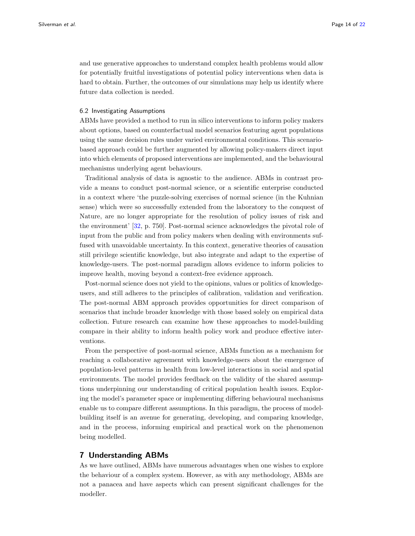and use generative approaches to understand complex health problems would allow for potentially fruitful investigations of potential policy interventions when data is hard to obtain. Further, the outcomes of our simulations may help us identify where future data collection is needed.

# 6.2 Investigating Assumptions

ABMs have provided a method to run in silico interventions to inform policy makers about options, based on counterfactual model scenarios featuring agent populations using the same decision rules under varied environmental conditions. This scenariobased approach could be further augmented by allowing policy-makers direct input into which elements of proposed interventions are implemented, and the behavioural mechanisms underlying agent behaviours.

Traditional analysis of data is agnostic to the audience. ABMs in contrast provide a means to conduct post-normal science, or a scientific enterprise conducted in a context where 'the puzzle-solving exercises of normal science (in the Kuhnian sense) which were so successfully extended from the laboratory to the conquest of Nature, are no longer appropriate for the resolution of policy issues of risk and the environment' [\[32,](#page-20-2) p. 750]. Post-normal science acknowledges the pivotal role of input from the public and from policy makers when dealing with environments suffused with unavoidable uncertainty. In this context, generative theories of causation still privilege scientific knowledge, but also integrate and adapt to the expertise of knowledge-users. The post-normal paradigm allows evidence to inform policies to improve health, moving beyond a context-free evidence approach.

Post-normal science does not yield to the opinions, values or politics of knowledgeusers, and still adheres to the principles of calibration, validation and verification. The post-normal ABM approach provides opportunities for direct comparison of scenarios that include broader knowledge with those based solely on empirical data collection. Future research can examine how these approaches to model-building compare in their ability to inform health policy work and produce effective interventions.

From the perspective of post-normal science, ABMs function as a mechanism for reaching a collaborative agreement with knowledge-users about the emergence of population-level patterns in health from low-level interactions in social and spatial environments. The model provides feedback on the validity of the shared assumptions underpinning our understanding of critical population health issues. Exploring the model's parameter space or implementing differing behavioural mechanisms enable us to compare different assumptions. In this paradigm, the process of modelbuilding itself is an avenue for generating, developing, and comparing knowledge, and in the process, informing empirical and practical work on the phenomenon being modelled.

# 7 Understanding ABMs

As we have outlined, ABMs have numerous advantages when one wishes to explore the behaviour of a complex system. However, as with any methodology, ABMs are not a panacea and have aspects which can present significant challenges for the modeller.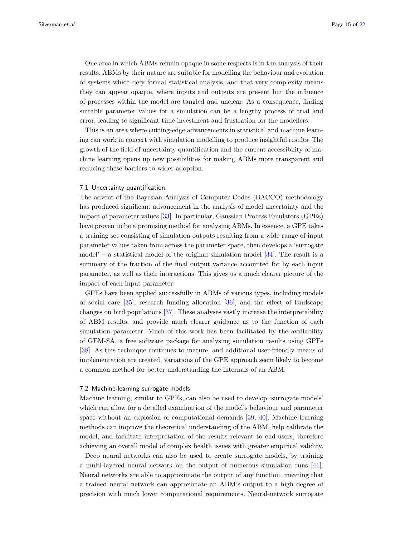One area in which ABMs remain opaque in some respects is in the analysis of their results. ABMs by their nature are suitable for modelling the behaviour and evolution of systems which defy formal statistical analysis, and that very complexity means they can appear opaque, where inputs and outputs are present but the influence of processes within the model are tangled and unclear. As a consequence, finding suitable parameter values for a simulation can be a lengthy process of trial and error, leading to significant time investment and frustration for the modellers.

This is an area where cutting-edge advancements in statistical and machine learning can work in concert with simulation modelling to produce insightful results. The growth of the field of uncertainty quantification and the current accessibility of machine learning opens up new possibilities for making ABMs more transparent and reducing these barriers to wider adoption.

# 7.1 Uncertainty quantification

The advent of the Bayesian Analysis of Computer Codes (BACCO) methodology has produced significant advancement in the analysis of model uncertainty and the impact of parameter values [\[33\]](#page-20-3). In particular, Gaussian Process Emulators (GPEs) have proven to be a promising method for analysing ABMs. In essence, a GPE takes a training set consisting of simulation outputs resulting from a wide range of input parameter values taken from across the parameter space, then develops a 'surrogate model' – a statistical model of the original simulation model  $[34]$ . The result is a summary of the fraction of the final output variance accounted for by each input parameter, as well as their interactions. This gives us a much clearer picture of the impact of each input parameter.

GPEs have been applied successfully in ABMs of various types, including models of social care [\[35\]](#page-20-5), research funding allocation [\[36\]](#page-20-6), and the effect of landscape changes on bird populations [\[37\]](#page-20-7). These analyses vastly increase the interpretability of ABM results, and provide much clearer guidance as to the function of each simulation parameter. Much of this work has been facilitated by the availability of GEM-SA, a free software package for analysing simulation results using GPEs [\[38\]](#page-20-8). As this technique continues to mature, and additional user-friendly means of implementation are created, variations of the GPE approach seem likely to become a common method for better understanding the internals of an ABM.

## 7.2 Machine-learning surrogate models

Machine learning, similar to GPEs, can also be used to develop 'surrogate models' which can allow for a detailed examination of the model's behaviour and parameter space without an explosion of computational demands [\[39,](#page-20-9) [40\]](#page-20-10). Machine learning methods can improve the theoretical understanding of the ABM, help calibrate the model, and facilitate interpretation of the results relevant to end-users, therefore achieving an overall model of complex health issues with greater empirical validity.

Deep neural networks can also be used to create surrogate models, by training a multi-layered neural network on the output of numerous simulation runs [\[41\]](#page-20-11). Neural networks are able to approximate the output of any function, meaning that a trained neural network can approximate an ABM's output to a high degree of precision with much lower computational requirements. Neural-network surrogate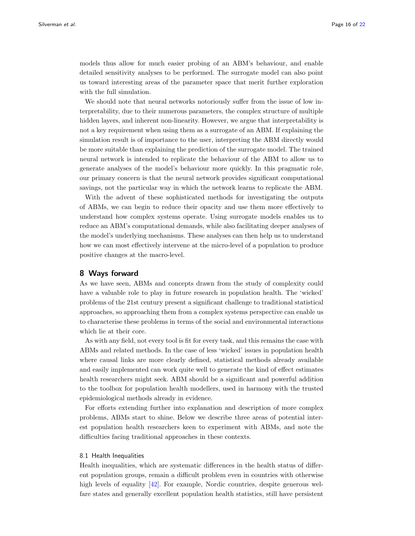models thus allow for much easier probing of an ABM's behaviour, and enable detailed sensitivity analyses to be performed. The surrogate model can also point us toward interesting areas of the parameter space that merit further exploration with the full simulation.

We should note that neural networks notoriously suffer from the issue of low interpretability, due to their numerous parameters, the complex structure of multiple hidden layers, and inherent non-linearity. However, we argue that interpretability is not a key requirement when using them as a surrogate of an ABM. If explaining the simulation result is of importance to the user, interpreting the ABM directly would be more suitable than explaining the prediction of the surrogate model. The trained neural network is intended to replicate the behaviour of the ABM to allow us to generate analyses of the model's behaviour more quickly. In this pragmatic role, our primary concern is that the neural network provides significant computational savings, not the particular way in which the network learns to replicate the ABM.

With the advent of these sophisticated methods for investigating the outputs of ABMs, we can begin to reduce their opacity and use them more effectively to understand how complex systems operate. Using surrogate models enables us to reduce an ABM's computational demands, while also facilitating deeper analyses of the model's underlying mechanisms. These analyses can then help us to understand how we can most effectively intervene at the micro-level of a population to produce positive changes at the macro-level.

# 8 Ways forward

As we have seen, ABMs and concepts drawn from the study of complexity could have a valuable role to play in future research in population health. The 'wicked' problems of the 21st century present a significant challenge to traditional statistical approaches, so approaching them from a complex systems perspective can enable us to characterise these problems in terms of the social and environmental interactions which lie at their core.

As with any field, not every tool is fit for every task, and this remains the case with ABMs and related methods. In the case of less 'wicked' issues in population health where causal links are more clearly defined, statistical methods already available and easily implemented can work quite well to generate the kind of effect estimates health researchers might seek. ABM should be a significant and powerful addition to the toolbox for population health modellers, used in harmony with the trusted epidemiological methods already in evidence.

For efforts extending further into explanation and description of more complex problems, ABMs start to shine. Below we describe three areas of potential interest population health researchers keen to experiment with ABMs, and note the difficulties facing traditional approaches in these contexts.

### 8.1 Health Inequalities

Health inequalities, which are systematic differences in the health status of different population groups, remain a difficult problem even in countries with otherwise high levels of equality [\[42\]](#page-20-12). For example, Nordic countries, despite generous welfare states and generally excellent population health statistics, still have persistent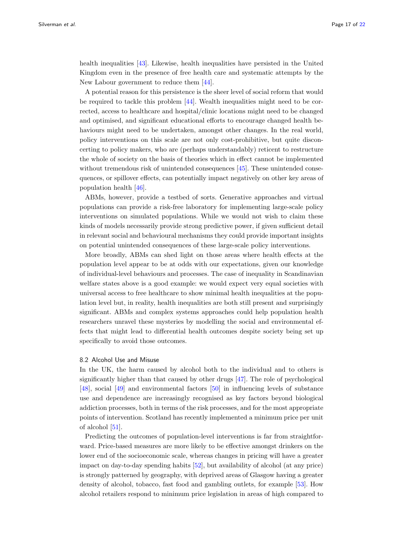health inequalities [\[43\]](#page-20-13). Likewise, health inequalities have persisted in the United Kingdom even in the presence of free health care and systematic attempts by the New Labour government to reduce them [\[44\]](#page-20-14).

A potential reason for this persistence is the sheer level of social reform that would be required to tackle this problem [\[44\]](#page-20-14). Wealth inequalities might need to be corrected, access to healthcare and hospital/clinic locations might need to be changed and optimised, and significant educational efforts to encourage changed health behaviours might need to be undertaken, amongst other changes. In the real world, policy interventions on this scale are not only cost-prohibitive, but quite disconcerting to policy makers, who are (perhaps understandably) reticent to restructure the whole of society on the basis of theories which in effect cannot be implemented without tremendous risk of unintended consequences [\[45\]](#page-20-15). These unintended consequences, or spillover effects, can potentially impact negatively on other key areas of population health [\[46\]](#page-20-16).

ABMs, however, provide a testbed of sorts. Generative approaches and virtual populations can provide a risk-free laboratory for implementing large-scale policy interventions on simulated populations. While we would not wish to claim these kinds of models necessarily provide strong predictive power, if given sufficient detail in relevant social and behavioural mechanisms they could provide important insights on potential unintended consequences of these large-scale policy interventions.

More broadly, ABMs can shed light on those areas where health effects at the population level appear to be at odds with our expectations, given our knowledge of individual-level behaviours and processes. The case of inequality in Scandinavian welfare states above is a good example: we would expect very equal societies with universal access to free healthcare to show minimal health inequalities at the population level but, in reality, health inequalities are both still present and surprisingly significant. ABMs and complex systems approaches could help population health researchers unravel these mysteries by modelling the social and environmental effects that might lead to differential health outcomes despite society being set up specifically to avoid those outcomes.

#### 8.2 Alcohol Use and Misuse

In the UK, the harm caused by alcohol both to the individual and to others is significantly higher than that caused by other drugs [\[47\]](#page-20-17). The role of psychological [\[48\]](#page-20-18), social [\[49\]](#page-20-19) and environmental factors [\[50\]](#page-20-20) in influencing levels of substance use and dependence are increasingly recognised as key factors beyond biological addiction processes, both in terms of the risk processes, and for the most appropriate points of intervention. Scotland has recently implemented a minimum price per unit of alcohol [\[51\]](#page-20-21).

Predicting the outcomes of population-level interventions is far from straightforward. Price-based measures are more likely to be effective amongst drinkers on the lower end of the socioeconomic scale, whereas changes in pricing will have a greater impact on day-to-day spending habits [\[52\]](#page-20-22), but availability of alcohol (at any price) is strongly patterned by geography, with deprived areas of Glasgow having a greater density of alcohol, tobacco, fast food and gambling outlets, for example [\[53\]](#page-20-23). How alcohol retailers respond to minimum price legislation in areas of high compared to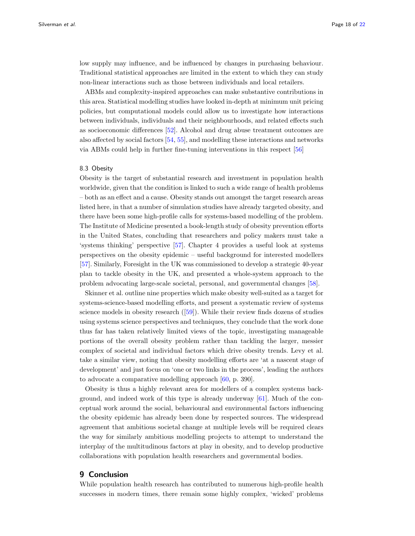low supply may influence, and be influenced by changes in purchasing behaviour. Traditional statistical approaches are limited in the extent to which they can study non-linear interactions such as those between individuals and local retailers.

ABMs and complexity-inspired approaches can make substantive contributions in this area. Statistical modelling studies have looked in-depth at minimum unit pricing policies, but computational models could allow us to investigate how interactions between individuals, individuals and their neighbourhoods, and related effects such as socioeconomic differences [\[52\]](#page-20-22). Alcohol and drug abuse treatment outcomes are also affected by social factors [\[54,](#page-20-24) [55\]](#page-20-25), and modelling these interactions and networks via ABMs could help in further fine-tuning interventions in this respect [\[56\]](#page-20-26)

# 8.3 Obesity

Obesity is the target of substantial research and investment in population health worldwide, given that the condition is linked to such a wide range of health problems – both as an effect and a cause. Obesity stands out amongst the target research areas listed here, in that a number of simulation studies have already targeted obesity, and there have been some high-profile calls for systems-based modelling of the problem. The Institute of Medicine presented a book-length study of obesity prevention efforts in the United States, concluding that researchers and policy makers must take a 'systems thinking' perspective [\[57\]](#page-20-27). Chapter 4 provides a useful look at systems perspectives on the obesity epidemic – useful background for interested modellers [\[57\]](#page-20-27). Similarly, Foresight in the UK was commissioned to develop a strategic 40-year plan to tackle obesity in the UK, and presented a whole-system approach to the problem advocating large-scale societal, personal, and governmental changes [\[58\]](#page-20-28).

Skinner et al. outline nine properties which make obesity well-suited as a target for systems-science-based modelling efforts, and present a systematic review of systems science models in obesity research ([\[59\]](#page-20-29)). While their review finds dozens of studies using systems science perspectives and techniques, they conclude that the work done thus far has taken relatively limited views of the topic, investigating manageable portions of the overall obesity problem rather than tackling the larger, messier complex of societal and individual factors which drive obesity trends. Levy et al. take a similar view, noting that obesity modelling efforts are 'at a nascent stage of development' and just focus on 'one or two links in the process', leading the authors to advocate a comparative modelling approach [\[60,](#page-20-30) p. 390].

Obesity is thus a highly relevant area for modellers of a complex systems background, and indeed work of this type is already underway [\[61\]](#page-21-1). Much of the conceptual work around the social, behavioural and environmental factors influencing the obesity epidemic has already been done by respected sources. The widespread agreement that ambitious societal change at multiple levels will be required clears the way for similarly ambitious modelling projects to attempt to understand the interplay of the multitudinous factors at play in obesity, and to develop productive collaborations with population health researchers and governmental bodies.

# 9 Conclusion

While population health research has contributed to numerous high-profile health successes in modern times, there remain some highly complex, 'wicked' problems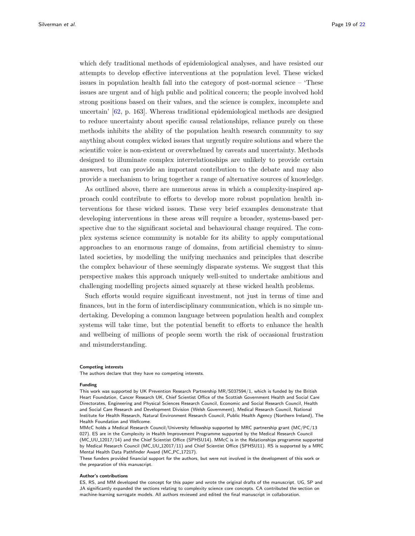which defy traditional methods of epidemiological analyses, and have resisted our attempts to develop effective interventions at the population level. These wicked issues in population health fall into the category of post-normal science – 'These issues are urgent and of high public and political concern; the people involved hold strong positions based on their values, and the science is complex, incomplete and uncertain' [\[62,](#page-21-2) p. 163]. Whereas traditional epidemiological methods are designed to reduce uncertainty about specific causal relationships, reliance purely on these methods inhibits the ability of the population health research community to say anything about complex wicked issues that urgently require solutions and where the scientific voice is non-existent or overwhelmed by caveats and uncertainty. Methods designed to illuminate complex interrelationships are unlikely to provide certain answers, but can provide an important contribution to the debate and may also provide a mechanism to bring together a range of alternative sources of knowledge.

As outlined above, there are numerous areas in which a complexity-inspired approach could contribute to efforts to develop more robust population health interventions for these wicked issues. These very brief examples demonstrate that developing interventions in these areas will require a broader, systems-based perspective due to the significant societal and behavioural change required. The complex systems science community is notable for its ability to apply computational approaches to an enormous range of domains, from artificial chemistry to simulated societies, by modelling the unifying mechanics and principles that describe the complex behaviour of these seemingly disparate systems. We suggest that this perspective makes this approach uniquely well-suited to undertake ambitious and challenging modelling projects aimed squarely at these wicked health problems.

Such efforts would require significant investment, not just in terms of time and finances, but in the form of interdisciplinary communication, which is no simple undertaking. Developing a common language between population health and complex systems will take time, but the potential benefit to efforts to enhance the health and wellbeing of millions of people seem worth the risk of occasional frustration and misunderstanding.

#### Competing interests

The authors declare that they have no competing interests.

#### Funding

MMcC holds a Medical Research Council/University fellowship supported by MRC partnership grant (MC/PC/13 027). ES are in the Complexity in Health Improvement Programme supported by the Medical Research Council (MC UU 12017/14) and the Chief Scientist Office (SPHSU14). MMcC is in the Relationships programme supported by Medical Research Council (MC\_UU\_12017/11) and Chief Scientist Office (SPHSU11). RS is supported by a MRC Mental Health Data Pathfinder Award (MC\_PC\_17217).

These funders provided financial support for the authors, but were not involved in the development of this work or the preparation of this manuscript.

#### Author's contributions

ES, RS, and MM developed the concept for this paper and wrote the original drafts of the manuscript. UG, SP and JA significantly expanded the sections relating to complexity science core concepts. CA contributed the section on machine-learning surrogate models. All authors reviewed and edited the final manuscript in collaboration.

This work was supported by UK Prevention Research Partnership MR/S037594/1, which is funded by the British Heart Foundation, Cancer Research UK, Chief Scientist Office of the Scottish Government Health and Social Care Directorates, Engineering and Physical Sciences Research Council, Economic and Social Research Council, Health and Social Care Research and Development Division (Welsh Government), Medical Research Council, National Institute for Health Research, Natural Environment Research Council, Public Health Agency (Northern Ireland), The Health Foundation and Wellcome.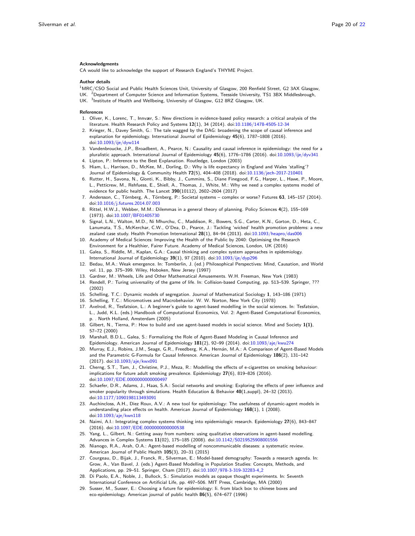#### Acknowledgments

CA would like to acknowledge the support of Research England's THYME Project.

#### Author details

<span id="page-19-2"></span><span id="page-19-0"></span><sup>1</sup>MRC/CSO Social and Public Health Sciences Unit, University of Glasgow, 200 Renfield Street, G2 3AX Glasgow, UK. <sup>2</sup>Department of Computer Science and Information Systems, Teesside University, TS1 3BX Middlesbrough, UK. <sup>3</sup>Institute of Health and Wellbeing, University of Glasgow, G12 8RZ Glasgow, UK.

#### <span id="page-19-1"></span>References

- <span id="page-19-3"></span>1. Oliver, K., Lorenc, T., Innvær, S.: New directions in evidence-based policy research: a critical analysis of the literature. Health Research Policy and Systems 12(1), 34 (2014). doi[:10.1186/1478-4505-12-34](http://dx.doi.org/10.1186/1478-4505-12-34)
- <span id="page-19-4"></span>2. Krieger, N., Davey Smith, G.: The tale wagged by the DAG: broadening the scope of causal inference and explanation for epidemiology. International Journal of Epidemiology 45(6), 1787–1808 (2016). doi[:10.1093/ije/dyw114](http://dx.doi.org/10.1093/ije/dyw114)
- <span id="page-19-5"></span>3. Vandenbroucke, J.P., Broadbent, A., Pearce, N.: Causality and causal inference in epidemiology: the need for a pluralistic approach. International Journal of Epidemiology 45(6), 1776–1786 (2016). doi[:10.1093/ije/dyv341](http://dx.doi.org/10.1093/ije/dyv341)
- <span id="page-19-6"></span>Lipton, P.: Inference to the Best Explanation. Routledge, London (2003)
- <span id="page-19-7"></span>5. Hiam, L., Harrison, D., McKee, M., Dorling, D.: Why is life expectancy in England and Wales 'stalling'? Journal of Epidemiology & Community Health 72(5), 404–408 (2018). doi[:10.1136/jech-2017-210401](http://dx.doi.org/10.1136/jech-2017-210401)
- <span id="page-19-8"></span>6. Rutter, H., Savona, N., Glonti, K., Bibby, J., Cummins, S., Diane Finegood, F.G., Harper, L., Hawe, P., Moore, L., Petticrew, M., Rehfuess, E., Shiell, A., Thomas, J., White, M.: Why we need a complex systems model of evidence for public health. The Lancet 390(10112), 2602–2604 (2017)
- <span id="page-19-9"></span>7. Andersson, C., Törnberg, A., Törnberg, P.: Societal systems – complex or worse? Futures 63, 145–157 (2014). doi[:10.1016/j.futures.2014.07.003](http://dx.doi.org/10.1016/j.futures.2014.07.003)
- <span id="page-19-10"></span>8. Rittel, H.W.J., Webber, M.M.: Dilemmas in a general theory of planning. Policy Sciences 4(2), 155–169 (1973). doi[:10.1007/BF01405730](http://dx.doi.org/10.1007/BF01405730)
- <span id="page-19-11"></span>9. Signal, L.N., Walton, M.D., Ni Mhurchu, C., Maddison, R., Bowers, S.G., Carter, K.N., Gorton, D., Heta, C., Lanumata, T.S., McKerchar, C.W., O'Dea, D., Pearce, J.: Tackling 'wicked' health promotion problems: a new zealand case study. Health Promotion International 28(1), 84–94 (2013). doi[:10.1093/heapro/das006](http://dx.doi.org/10.1093/heapro/das006)
- <span id="page-19-12"></span>10. Academy of Medical Sciences: Improving the Health of the Public by 2040: Optimising the Research Environment for a Healthier, Fairer Future. Academy of Medical Sciences, London, UK (2016)
- <span id="page-19-13"></span>11. Galea, S., Riddle, M., Kaplan, G.A.: Causal thinking and complex system approaches in epidemiology. International Journal of Epidemiology 39(1), 97 (2010). doi[:10.1093/ije/dyp296](http://dx.doi.org/10.1093/ije/dyp296)
- <span id="page-19-14"></span>12. Bedau, M.A.: Weak emergence. In: Tomberlin, J. (ed.) Philosophical Perspectives: Mind, Causation, and World vol. 11, pp. 375–399. Wiley, Hoboken, New Jersey (1997)
- <span id="page-19-15"></span>13. Gardner, M.: Wheels, Life and Other Mathematical Amusements. W.H. Freeman, New York (1983)
- <span id="page-19-16"></span>14. Rendell, P.: Turing universality of the game of life. In: Collision-based Computing, pp. 513–539. Springer, ??? (2002)
- <span id="page-19-17"></span>15. Schelling, T.C.: Dynamic models of segregation. Journal of Mathematical Sociology 1, 143–186 (1971)
- <span id="page-19-18"></span>16. Schelling, T.C.: Micromotives and Macrobehavior. W. W. Norton, New York City (1978)
- <span id="page-19-19"></span>17. Axelrod, R., Tesfatsion, L.: A beginner's guide to agent-based modelling in the social sciences. In: Tesfatsion, L., Judd, K.L. (eds.) Handbook of Computational Economics, Vol. 2: Agent-Based Computational Economics, p. . North Holland, Amsterdam (2005)
- <span id="page-19-20"></span>18. Gilbert, N., Tierna, P.: How to build and use agent-based models in social science. Mind and Society 1(1), 57–72 (2000)
- <span id="page-19-21"></span>19. Marshall, B.D.L., Galea, S.: Formalizing the Role of Agent-Based Modeling in Causal Inference and Epidemiology. American Journal of Epidemiology 181(2), 92-99 (2014). doi[:10.1093/aje/kwu274](http://dx.doi.org/10.1093/aje/kwu274)
- <span id="page-19-22"></span>20. Murray, E.J., Robins, J.M., Seage, G.R., Freedberg, K.A., Hern´an, M.A.: A Comparison of Agent-Based Models and the Parametric G-Formula for Causal Inference. American Journal of Epidemiology 186(2), 131–142 (2017). doi[:10.1093/aje/kwx091](http://dx.doi.org/10.1093/aje/kwx091)
- <span id="page-19-23"></span>21. Cherng, S.T., Tam, J., Christine, P.J., Meza, R.: Modelling the effects of e-cigarettes on smoking behaviour: implications for future adult smoking prevalence. Epidemiology 27(6), 819–826 (2016). doi[:10.1097/EDE.0000000000000497](http://dx.doi.org/10.1097/EDE.0000000000000497)
- <span id="page-19-24"></span>22. Schaefer, D.R., Adams, J., Haas, S.A.: Social networks and smoking: Exploring the effects of peer influence and smoker popularity through simulations. Health Education & Behavior 40(1\_suppl), 24-32 (2013). doi[:10.1177/1090198113493091](http://dx.doi.org/10.1177/1090198113493091)
- <span id="page-19-25"></span>23. Auchincloss, A.H., Diez Roux, A.V.: A new tool for epidemiology: The usefulness of dynamic-agent models in understanding place effects on health. American Journal of Epidemiology  $168(1)$ , 1 (2008). doi[:10.1093/aje/kwn118](http://dx.doi.org/10.1093/aje/kwn118)
- <span id="page-19-26"></span>24. Naimi, A.I.: Integrating complex systems thinking into epidemiologic research. Epidemiology 27(6), 843–847 (2016). doi[:10.1097/EDE.0000000000000538](http://dx.doi.org/10.1097/EDE.0000000000000538)
- <span id="page-19-27"></span>25. Yang, L., Gilbert, N.: Getting away from numbers: using qualitative observations in agent-based modelling. Advances in Complex Systems 11(02), 175–185 (2008). doi[:10.1142/S0219525908001556](http://dx.doi.org/10.1142/S0219525908001556)
- <span id="page-19-28"></span>26. Nianogo, R.A., Arah, O.A.: Agent-based modelling of noncommunicable diseases: a systematic review. American Journal of Public Health 105(3), 20–31 (2015)
- <span id="page-19-29"></span>27. Courgeau, D., Bijak, J., Franck, R., Silverman, E.: Model-based demography: Towards a research agenda. In: Grow, A., Van Bavel, J. (eds.) Agent-Based Modelling in Population Studies: Concepts, Methods, and Applications, pp. 29-51. Springer, Cham (2017). doi[:10.1007/978-3-319-32283-4](http://dx.doi.org/10.1007/978-3-319-32283-4_2)<sub>-2</sub>
- <span id="page-19-30"></span>28. Di Paolo, E.A., Noble, J., Bullock, S.: Simulation models as opaque thought experiments. In: Seventh International Conference on Artificial Life, pp. 497–506. MIT Press, Cambridge, MA (2000)
- <span id="page-19-31"></span>29. Susser, M., Susser, E.: Choosing a future for epidemiology: Ii. from black box to chinese boxes and eco-epidemiology. American journal of public health 86(5), 674–677 (1996)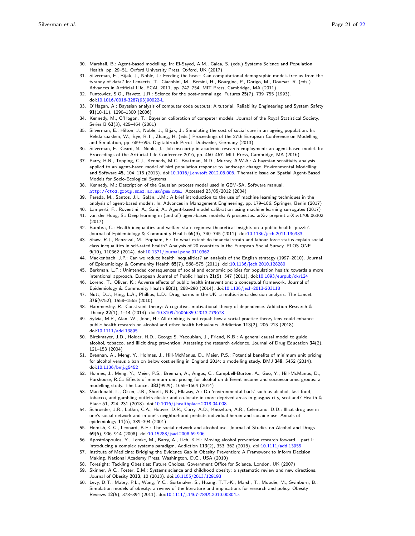- <span id="page-20-0"></span>30. Marshall, B.: Agent-based modelling. In: El-Sayed, A.M., Galea, S. (eds.) Systems Science and Population Health, pp. 29–51. Oxford University Press, Oxford, UK (2017)
- <span id="page-20-1"></span>31. Silverman, E., Bijak, J., Noble, J.: Feeding the beast: Can computational demographic models free us from the tyranny of data? In: Lenaerts, T., Giacobini, M., Bersini, H., Bourgine, P., Dorigo, M., Doursat, R. (eds.) Advances in Artificial Life, ECAL 2011, pp. 747–754. MIT Press, Cambridge, MA (2011)
- <span id="page-20-2"></span>32. Funtowicz, S.O., Ravetz, J.R.: Science for the post-normal age. Futures 25(7), 739–755 (1993). doi[:10.1016/0016-3287\(93\)90022-L](http://dx.doi.org/10.1016/0016-3287(93)90022-L)
- <span id="page-20-3"></span>33. O'Hagan, A.: Bayesian analysis of computer code outputs: A tutorial. Reliability Engineering and System Safety 91(10-11), 1290–1300 (2006)
- <span id="page-20-4"></span>34. Kennedy, M., O'Hagan, T.: Bayesian calibration of computer models. Journal of the Royal Statistical Society, Series B 63(3), 425–464 (2001)
- <span id="page-20-5"></span>35. Silverman, E., Hilton, J., Noble, J., Bijak, J.: Simulating the cost of social care in an ageing population. In: Rekdalsbakken, W., Bye, R.T., Zhang, H. (eds.) Proceedings of the 27th European Conference on Modelling and Simulation, pp. 689–695. Digitaldruck Pirrot, Dudweiler, Germany (2013)
- <span id="page-20-6"></span>36. Silverman, E., Geard, N., Noble, J.: Job insecurity in academic research employment: an agent-based model. In: Proceedings of the Artificial Life Conference 2016, pp. 460–467. MIT Press, Cambridge, MA (2016)
- <span id="page-20-7"></span>37. Parry, H.R., Topping, C.J., Kennedy, M.C., Boatman, N.D., Murray, A.W.A.: A bayesian sensitivity analysis applied to an agent-based model of bird population response to landscape change. Environmental Modelling and Software 45, 104-115 (2013). doi[:10.1016/j.envsoft.2012.08.006.](http://dx.doi.org/10.1016/j.envsoft.2012.08.006) Thematic Issue on Spatial Agent-Based Models for Socio-Ecological Systems
- <span id="page-20-8"></span>38. Kennedy, M.: Description of the Gaussian process model used in GEM-SA. Software manual. <http://ctcd.group.shef.ac.uk/gem.html>. Accessed 23/05/2012 (2004)
- <span id="page-20-9"></span>39. Pereda, M., Santos, J.I., Galán, J.M.: A brief introduction to the use of machine learning techniques in the analysis of agent-based models. In: Advances in Management Engineering, pp. 179–186. Springer, Berlin (2017)
- <span id="page-20-11"></span><span id="page-20-10"></span>40. Lamperti, F., Roventini, A., Sani, A.: Agent-based model calibration using machine learning surrogates (2017) 41. van der Hoog, S.: Deep learning in (and of) agent-based models: A prospectus. arXiv preprint arXiv:1706.06302
- <span id="page-20-12"></span>(2017) 42. Bambra, C.: Health inequalities and welfare state regimes: theoretical insights on a public health 'puzzle'.
- Journal of Epidemiology & Community Health 65(9), 740–745 (2011). doi[:10.1136/jech.2011.136333](http://dx.doi.org/10.1136/jech.2011.136333) 43. Shaw, R.J., Benzeval, M., Popham, F.: To what extent do financial strain and labour force status explain social
- <span id="page-20-13"></span>class inequalities in self-rated health? Analysis of 20 countries in the European Social Survey. PLOS ONE 9(10), 110362 (2014). doi[:10.1371/journal.pone.0110362](http://dx.doi.org/10.1371/journal.pone.0110362)
- <span id="page-20-14"></span>44. Mackenbach, J.P.: Can we reduce health inequalities? an analysis of the English strategy (1997–2010). Journal of Epidemiology & Community Health 65(7), 568-575 (2011). doi[:10.1136/jech.2010.128280](http://dx.doi.org/10.1136/jech.2010.128280)
- <span id="page-20-15"></span>45. Berkman, L.F.: Unintended consequences of social and economic policies for population health: towards a more intentional approach. European Journal of Public Health 21(5), 547 (2011). doi[:10.1093/eurpub/ckr124](http://dx.doi.org/10.1093/eurpub/ckr124)
- <span id="page-20-16"></span>46. Lorenc, T., Oliver, K.: Adverse effects of public health interventions: a conceptual framework. Journal of Epidemiology & Community Health 68(3), 288–290 (2014). doi[:10.1136/jech-2013-203118](http://dx.doi.org/10.1136/jech-2013-203118)
- <span id="page-20-17"></span>47. Nutt, D.J., King, L.A., Phillips, L.D.: Drug harms in the UK: a multicriteria decision analysis. The Lancet 376(9752), 1558–1565 (2010)
- <span id="page-20-18"></span>48. Hammersley, R.: Constraint theory: A cognitive, motivational theory of dependence. Addiction Research & Theory 22(1), 1–14 (2014). doi[:10.3109/16066359.2013.779678](http://dx.doi.org/10.3109/16066359.2013.779678)
- <span id="page-20-19"></span>49. Sylvia, M.P., Alan, W., John, H.: All drinking is not equal: how a social practice theory lens could enhance public health research on alcohol and other health behaviours. Addiction 113(2), 206–213 (2018). doi[:10.1111/add.13895](http://dx.doi.org/10.1111/add.13895)
- <span id="page-20-20"></span>50. Birckmayer, J.D., Holder, H.D., George S. Yacoubian, J., Friend, K.B.: A general causal model to guide alcohol, tobacco, and illicit drug prevention: Assessing the research evidence. Journal of Drug Education 34(2), 121–153 (2004)
- <span id="page-20-21"></span>51. Brennan, A., Meng, Y., Holmes, J., Hill-McManus, D., Meier, P.S.: Potential benefits of minimum unit pricing for alcohol versus a ban on below cost selling in England 2014: a modelling study. BMJ 349, 5452 (2014). doi[:10.1136/bmj.g5452](http://dx.doi.org/10.1136/bmj.g5452)
- <span id="page-20-22"></span>52. Holmes, J., Meng, Y., Meier, P.S., Brennan, A., Angus, C., Campbell-Burton, A., Guo, Y., Hill-McManus, D., Purshouse, R.C.: Effects of minimum unit pricing for alcohol on different income and socioeconomic groups: a modelling study. The Lancet 383(9929), 1655–1664 (2014)
- <span id="page-20-23"></span>53. Macdonald, L., Olsen, J.R., Shortt, N.K., Ellaway, A.: Do 'environmental bads' such as alcohol, fast food, tobacco, and gambling outlets cluster and co-locate in more deprived areas in glasgow city, scotland? Health & Place 51, 224-231 (2018). doi[:10.1016/j.healthplace.2018.04.008](http://dx.doi.org/10.1016/j.healthplace.2018.04.008)
- <span id="page-20-24"></span>54. Schroeder, J.R., Latkin, C.A., Hoover, D.R., Curry, A.D., Knowlton, A.R., Celentano, D.D.: Illicit drug use in one's social network and in one's neighborhood predicts individual heroin and cocaine use. Annals of epidemiology 11(6), 389–394 (2001)
- <span id="page-20-25"></span>55. Homish, G.G., Leonard, K.E.: The social network and alcohol use. Journal of Studies on Alcohol and Drugs 69(6), 906–914 (2008). doi[:10.15288/jsad.2008.69.906](http://dx.doi.org/10.15288/jsad.2008.69.906)
- <span id="page-20-26"></span>56. Apostolopoulos, Y., Lemke, M., Barry, A., Lich, K.H.: Moving alcohol prevention research forward – part I: introducing a complex systems paradigm. Addiction  $113(2)$ ,  $353-362$   $(2018)$ . doi: $10.1111$ /add.13955
- <span id="page-20-27"></span>57. Institute of Medicine: Bridging the Evidence Gap in Obesity Prevention: A Framework to Inform Decision Making. National Academy Press, Washington, D.C., USA (2010)
- <span id="page-20-28"></span>58. Foresight: Tackling Obesities: Future Choices. Government Office for Science, London, UK (2007)
- <span id="page-20-29"></span>59. Skinner, A.C., Foster, E.M.: Systems science and childhood obesity: a systematic review and new directions. Journal of Obesity 2013, 10 (2013). doi[:10.1155/2013/129193](http://dx.doi.org/10.1155/2013/129193)
- <span id="page-20-30"></span>60. Levy, D.T., Mabry, P.L., Wang, Y.C., Gortmaker, S., Huang, T.T.-K., Marsh, T., Moodie, M., Swinburn, B.: Simulation models of obesity: a review of the literature and implications for research and policy. Obesity Reviews 12(5), 378–394 (2011). doi[:10.1111/j.1467-789X.2010.00804.x](http://dx.doi.org/10.1111/j.1467-789X.2010.00804.x)